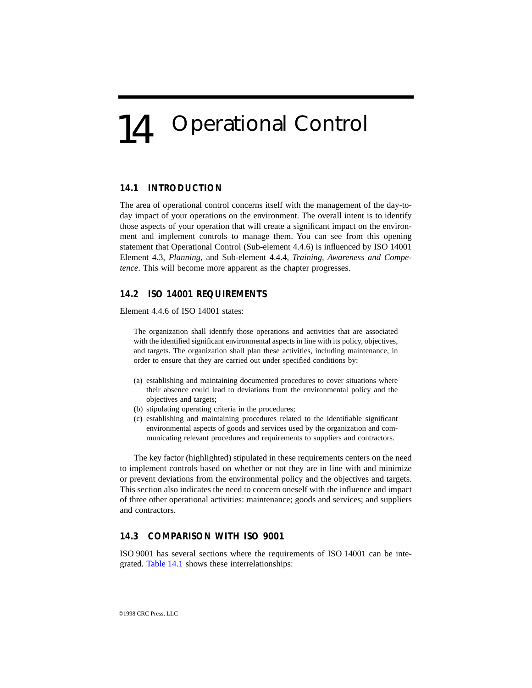# 14 Operational Control

# **14.1 INTRODUCTION**

The area of operational control concerns itself with the management of the day-today impact of your operations on the environment. The overall intent is to identify those aspects of your operation that will create a significant impact on the environment and implement controls to manage them. You can see from this opening statement that Operational Control (Sub-element 4.4.6) is influenced by ISO 14001 Element 4.3, *Planning*, and Sub-element 4.4.4, *Training, Awareness and Competence*. This will become more apparent as the chapter progresses.

# **14.2 ISO 14001 REQUIREMENTS**

Element 4.4.6 of ISO 14001 states:

The organization shall identify those operations and activities that are associated with the identified significant environmental aspects in line with its policy, objectives, and targets. The organization shall plan these activities, including maintenance, in order to ensure that they are carried out under specified conditions by:

- (a) establishing and maintaining documented procedures to cover situations where their absence could lead to deviations from the environmental policy and the objectives and targets;
- (b) stipulating operating criteria in the procedures;
- (c) establishing and maintaining procedures related to the identifiable significant environmental aspects of goods and services used by the organization and communicating relevant procedures and requirements to suppliers and contractors.

The key factor (highlighted) stipulated in these requirements centers on the need to implement controls based on whether or not they are in line with and minimize or prevent deviations from the environmental policy and the objectives and targets. This section also indicates the need to concern oneself with the influence and impact of three other operational activities: maintenance; goods and services; and suppliers and contractors.

## **14.3 COMPARISON WITH ISO 9001**

ISO 9001 has several sections where the requirements of ISO 14001 can be integrated[. Table 14.1](#page-1-0) shows these interrelationships: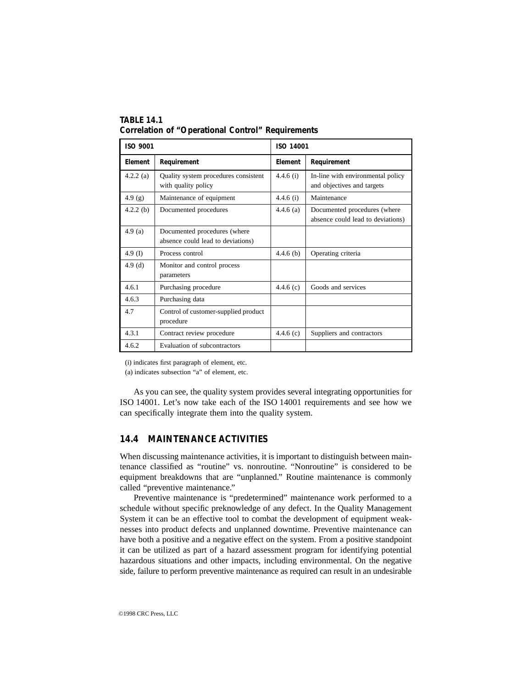<span id="page-1-0"></span>**TABLE 14.1 Correlation of "Operational Control" Requirements**

| <b>ISO 9001</b> |                                                                   | <b>ISO 14001</b> |                                                                   |
|-----------------|-------------------------------------------------------------------|------------------|-------------------------------------------------------------------|
| <b>Flement</b>  | Requirement                                                       | <b>Flement</b>   | Requirement                                                       |
| $4.2.2$ (a)     | Quality system procedures consistent<br>with quality policy       | 4.4.6(i)         | In-line with environmental policy<br>and objectives and targets   |
| 4.9(g)          | Maintenance of equipment                                          | 4.4.6(i)         | Maintenance                                                       |
| 4.2.2 $(b)$     | Documented procedures                                             | $4.4.6$ (a)      | Documented procedures (where<br>absence could lead to deviations) |
| 4.9(a)          | Documented procedures (where<br>absence could lead to deviations) |                  |                                                                   |
| 4.9 $(I)$       | Process control                                                   | $4.4.6$ (b)      | Operating criteria                                                |
| 4.9 $(d)$       | Monitor and control process<br>parameters                         |                  |                                                                   |
| 4.6.1           | Purchasing procedure                                              | 4.4.6 $(c)$      | Goods and services                                                |
| 4.6.3           | Purchasing data                                                   |                  |                                                                   |
| 4.7             | Control of customer-supplied product<br>procedure                 |                  |                                                                   |
| 4.3.1           | Contract review procedure                                         | 4.4.6 $(c)$      | Suppliers and contractors                                         |
| 4.6.2           | Evaluation of subcontractors                                      |                  |                                                                   |

(i) indicates first paragraph of element, etc.

(a) indicates subsection "a" of element, etc.

As you can see, the quality system provides several integrating opportunities for ISO 14001. Let's now take each of the ISO 14001 requirements and see how we can specifically integrate them into the quality system.

## **14.4 MAINTENANCE ACTIVITIES**

When discussing maintenance activities, it is important to distinguish between maintenance classified as "routine" vs. nonroutine. "Nonroutine" is considered to be equipment breakdowns that are "unplanned." Routine maintenance is commonly called "preventive maintenance."

Preventive maintenance is "predetermined" maintenance work performed to a schedule without specific preknowledge of any defect. In the Quality Management System it can be an effective tool to combat the development of equipment weaknesses into product defects and unplanned downtime. Preventive maintenance can have both a positive and a negative effect on the system. From a positive standpoint it can be utilized as part of a hazard assessment program for identifying potential hazardous situations and other impacts, including environmental. On the negative side, failure to perform preventive maintenance as required can result in an undesirable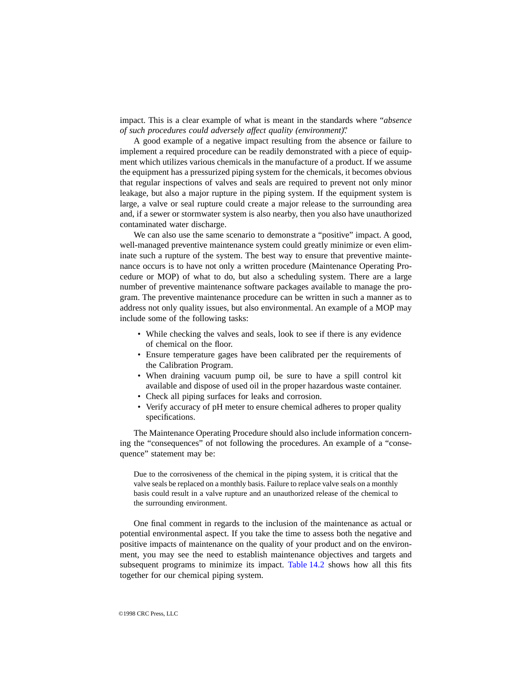impact. This is a clear example of what is meant in the standards where "*absence of such procedures could adversely affect quality (environment)".*

A good example of a negative impact resulting from the absence or failure to implement a required procedure can be readily demonstrated with a piece of equipment which utilizes various chemicals in the manufacture of a product. If we assume the equipment has a pressurized piping system for the chemicals, it becomes obvious that regular inspections of valves and seals are required to prevent not only minor leakage, but also a major rupture in the piping system. If the equipment system is large, a valve or seal rupture could create a major release to the surrounding area and, if a sewer or stormwater system is also nearby, then you also have unauthorized contaminated water discharge.

We can also use the same scenario to demonstrate a "positive" impact. A good, well-managed preventive maintenance system could greatly minimize or even eliminate such a rupture of the system. The best way to ensure that preventive maintenance occurs is to have not only a written procedure (Maintenance Operating Procedure or MOP) of what to do, but also a scheduling system. There are a large number of preventive maintenance software packages available to manage the program. The preventive maintenance procedure can be written in such a manner as to address not only quality issues, but also environmental. An example of a MOP may include some of the following tasks:

- While checking the valves and seals, look to see if there is any evidence of chemical on the floor.
- Ensure temperature gages have been calibrated per the requirements of the Calibration Program.
- When draining vacuum pump oil, be sure to have a spill control kit available and dispose of used oil in the proper hazardous waste container.
- Check all piping surfaces for leaks and corrosion.
- Verify accuracy of pH meter to ensure chemical adheres to proper quality specifications.

The Maintenance Operating Procedure should also include information concerning the "consequences" of not following the procedures. An example of a "consequence" statement may be:

Due to the corrosiveness of the chemical in the piping system, it is critical that the valve seals be replaced on a monthly basis. Failure to replace valve seals on a monthly basis could result in a valve rupture and an unauthorized release of the chemical to the surrounding environment.

One final comment in regards to the inclusion of the maintenance as actual or potential environmental aspect. If you take the time to assess both the negative and positive impacts of maintenance on the quality of your product and on the environment, you may see the need to establish maintenance objectives and targets and subsequent programs to minimize its impact. [Table 14.2](#page-3-0) shows how all this fits together for our chemical piping system.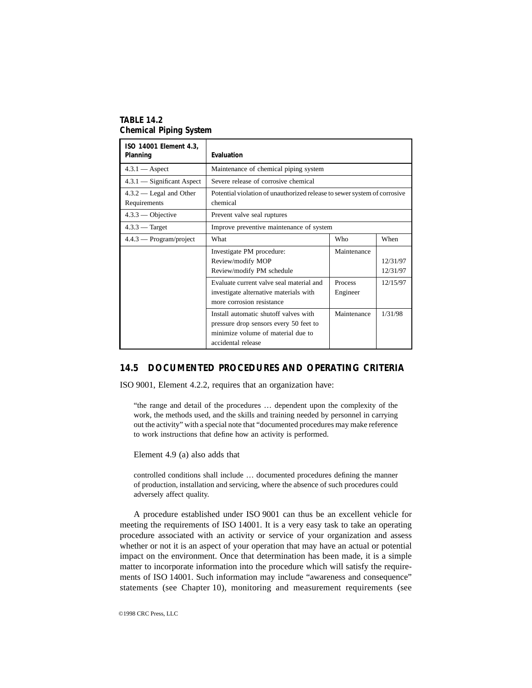# <span id="page-3-0"></span>**TABLE 14.2 Chemical Piping System**

| ISO 14001 Element 4.3,<br>Planning        | <b>Fvaluation</b>                                                                                                                           |                     |                      |  |  |
|-------------------------------------------|---------------------------------------------------------------------------------------------------------------------------------------------|---------------------|----------------------|--|--|
| $4.3.1 -$ Aspect                          | Maintenance of chemical piping system                                                                                                       |                     |                      |  |  |
| $4.3.1$ — Significant Aspect              | Severe release of corrosive chemical                                                                                                        |                     |                      |  |  |
| $4.3.2$ — Legal and Other<br>Requirements | Potential violation of unauthorized release to sewer system of corrosive<br>chemical                                                        |                     |                      |  |  |
| $4.3.3$ — Objective                       | Prevent valve seal ruptures                                                                                                                 |                     |                      |  |  |
| $4.3.3$ — Target                          | Improve preventive maintenance of system                                                                                                    |                     |                      |  |  |
| $4.4.3$ — Program/project                 | What                                                                                                                                        | Who                 | When                 |  |  |
|                                           | Investigate PM procedure:<br>Review/modify MOP<br>Review/modify PM schedule                                                                 | Maintenance         | 12/31/97<br>12/31/97 |  |  |
|                                           | Evaluate current valve seal material and<br>investigate alternative materials with<br>more corrosion resistance                             | Process<br>Engineer | 12/15/97             |  |  |
|                                           | Install automatic shutoff valves with<br>pressure drop sensors every 50 feet to<br>minimize volume of material due to<br>accidental release | Maintenance         | 1/31/98              |  |  |

# **14.5 DOCUMENTED PROCEDURES AND OPERATING CRITERIA**

ISO 9001, Element 4.2.2, requires that an organization have:

"the range and detail of the procedures … dependent upon the complexity of the work, the methods used, and the skills and training needed by personnel in carrying out the activity" with a special note that "documented procedures may make reference to work instructions that define how an activity is performed.

Element 4.9 (a) also adds that

controlled conditions shall include … documented procedures defining the manner of production, installation and servicing, where the absence of such procedures could adversely affect quality.

A procedure established under ISO 9001 can thus be an excellent vehicle for meeting the requirements of ISO 14001. It is a very easy task to take an operating procedure associated with an activity or service of your organization and assess whether or not it is an aspect of your operation that may have an actual or potential impact on the environment. Once that determination has been made, it is a simple matter to incorporate information into the procedure which will satisfy the requirements of ISO 14001. Such information may include "awareness and consequence" statements (see Chapter 10), monitoring and measurement requirements (see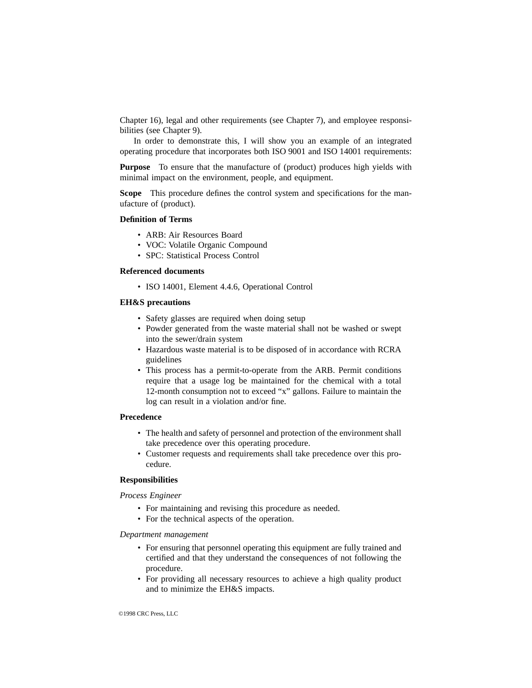Chapter 16), legal and other requirements (see Chapter 7), and employee responsibilities (see Chapter 9).

In order to demonstrate this, I will show you an example of an integrated operating procedure that incorporates both ISO 9001 and ISO 14001 requirements:

**Purpose** To ensure that the manufacture of (product) produces high yields with minimal impact on the environment, people, and equipment.

**Scope** This procedure defines the control system and specifications for the manufacture of (product).

#### **Definition of Terms**

- ARB: Air Resources Board
- VOC: Volatile Organic Compound
- SPC: Statistical Process Control

#### **Referenced documents**

• ISO 14001, Element 4.4.6, Operational Control

#### **EH&S precautions**

- Safety glasses are required when doing setup
- Powder generated from the waste material shall not be washed or swept into the sewer/drain system
- Hazardous waste material is to be disposed of in accordance with RCRA guidelines
- This process has a permit-to-operate from the ARB. Permit conditions require that a usage log be maintained for the chemical with a total 12-month consumption not to exceed "x" gallons. Failure to maintain the log can result in a violation and/or fine.

#### **Precedence**

- The health and safety of personnel and protection of the environment shall take precedence over this operating procedure.
- Customer requests and requirements shall take precedence over this procedure.

#### **Responsibilities**

#### *Process Engineer*

- For maintaining and revising this procedure as needed.
- For the technical aspects of the operation.

#### *Department management*

- For ensuring that personnel operating this equipment are fully trained and certified and that they understand the consequences of not following the procedure.
- For providing all necessary resources to achieve a high quality product and to minimize the EH&S impacts.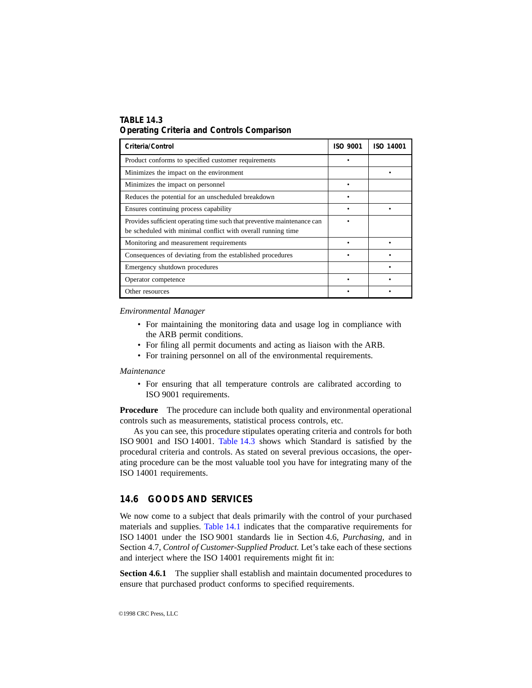## **TABLE 14.3 Operating Criteria and Controls Comparison**

| Criteria/Control                                                                                                                        | <b>ISO 9001</b> | <b>ISO 14001</b> |
|-----------------------------------------------------------------------------------------------------------------------------------------|-----------------|------------------|
| Product conforms to specified customer requirements                                                                                     |                 |                  |
| Minimizes the impact on the environment                                                                                                 |                 |                  |
| Minimizes the impact on personnel                                                                                                       |                 |                  |
| Reduces the potential for an unscheduled breakdown                                                                                      |                 |                  |
| Ensures continuing process capability                                                                                                   |                 |                  |
| Provides sufficient operating time such that preventive maintenance can<br>be scheduled with minimal conflict with overall running time |                 |                  |
| Monitoring and measurement requirements                                                                                                 |                 |                  |
| Consequences of deviating from the established procedures                                                                               |                 |                  |
| Emergency shutdown procedures                                                                                                           |                 |                  |
| Operator competence                                                                                                                     |                 |                  |
| Other resources                                                                                                                         |                 |                  |

*Environmental Manager*

- For maintaining the monitoring data and usage log in compliance with the ARB permit conditions.
- For filing all permit documents and acting as liaison with the ARB.
- For training personnel on all of the environmental requirements.

#### *Maintenance*

• For ensuring that all temperature controls are calibrated according to ISO 9001 requirements.

**Procedure** The procedure can include both quality and environmental operational controls such as measurements, statistical process controls, etc.

As you can see, this procedure stipulates operating criteria and controls for both ISO 9001 and ISO 14001. Table 14.3 shows which Standard is satisfied by the procedural criteria and controls. As stated on several previous occasions, the operating procedure can be the most valuable tool you have for integrating many of the ISO 14001 requirements.

# **14.6 GOODS AND SERVICES**

We now come to a subject that deals primarily with the control of your purchased materials and supplies. [Table 14.1](#page-1-0) indicates that the comparative requirements for ISO 14001 under the ISO 9001 standards lie in Section 4.6, *Purchasing*, and in Section 4.7, *Control of Customer-Supplied Product.* Let's take each of these sections and interject where the ISO 14001 requirements might fit in:

**Section 4.6.1** The supplier shall establish and maintain documented procedures to ensure that purchased product conforms to specified requirements.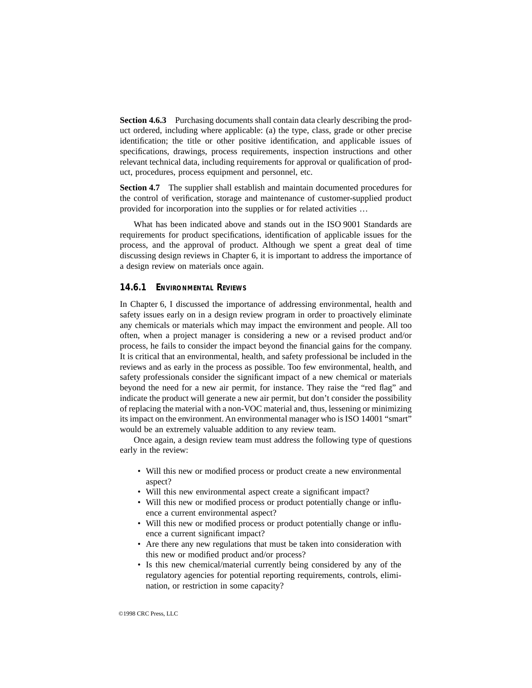**Section 4.6.3** Purchasing documents shall contain data clearly describing the product ordered, including where applicable: (a) the type, class, grade or other precise identification; the title or other positive identification, and applicable issues of specifications, drawings, process requirements, inspection instructions and other relevant technical data, including requirements for approval or qualification of product, procedures, process equipment and personnel, etc.

**Section 4.7** The supplier shall establish and maintain documented procedures for the control of verification, storage and maintenance of customer-supplied product provided for incorporation into the supplies or for related activities …

What has been indicated above and stands out in the ISO 9001 Standards are requirements for product specifications, identification of applicable issues for the process, and the approval of product. Although we spent a great deal of time discussing design reviews in Chapter 6, it is important to address the importance of a design review on materials once again.

## **14.6.1 ENVIRONMENTAL REVIEWS**

In Chapter 6, I discussed the importance of addressing environmental, health and safety issues early on in a design review program in order to proactively eliminate any chemicals or materials which may impact the environment and people. All too often, when a project manager is considering a new or a revised product and/or process, he fails to consider the impact beyond the financial gains for the company. It is critical that an environmental, health, and safety professional be included in the reviews and as early in the process as possible. Too few environmental, health, and safety professionals consider the significant impact of a new chemical or materials beyond the need for a new air permit, for instance. They raise the "red flag" and indicate the product will generate a new air permit, but don't consider the possibility of replacing the material with a non-VOC material and, thus, lessening or minimizing its impact on the environment. An environmental manager who is ISO 14001 "smart" would be an extremely valuable addition to any review team.

Once again, a design review team must address the following type of questions early in the review:

- Will this new or modified process or product create a new environmental aspect?
- Will this new environmental aspect create a significant impact?
- Will this new or modified process or product potentially change or influence a current environmental aspect?
- Will this new or modified process or product potentially change or influence a current significant impact?
- Are there any new regulations that must be taken into consideration with this new or modified product and/or process?
- Is this new chemical/material currently being considered by any of the regulatory agencies for potential reporting requirements, controls, elimination, or restriction in some capacity?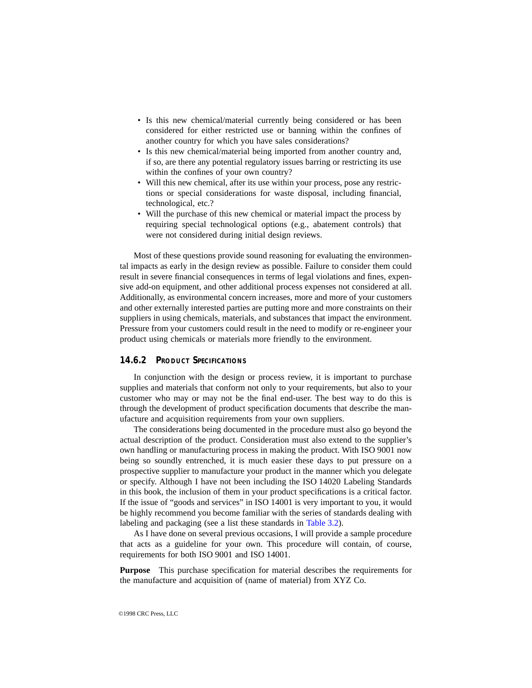- Is this new chemical/material currently being considered or has been considered for either restricted use or banning within the confines of another country for which you have sales considerations?
- Is this new chemical/material being imported from another country and, if so, are there any potential regulatory issues barring or restricting its use within the confines of your own country?
- Will this new chemical, after its use within your process, pose any restrictions or special considerations for waste disposal, including financial, technological, etc.?
- Will the purchase of this new chemical or material impact the process by requiring special technological options (e.g., abatement controls) that were not considered during initial design reviews.

Most of these questions provide sound reasoning for evaluating the environmental impacts as early in the design review as possible. Failure to consider them could result in severe financial consequences in terms of legal violations and fines, expensive add-on equipment, and other additional process expenses not considered at all. Additionally, as environmental concern increases, more and more of your customers and other externally interested parties are putting more and more constraints on their suppliers in using chemicals, materials, and substances that impact the environment. Pressure from your customers could result in the need to modify or re-engineer your product using chemicals or materials more friendly to the environment.

## **14.6.2 PRODUCT SPECIFICATIONS**

In conjunction with the design or process review, it is important to purchase supplies and materials that conform not only to your requirements, but also to your customer who may or may not be the final end-user. The best way to do this is through the development of product specification documents that describe the manufacture and acquisition requirements from your own suppliers.

The considerations being documented in the procedure must also go beyond the actual description of the product. Consideration must also extend to the supplier's own handling or manufacturing process in making the product. With ISO 9001 now being so soundly entrenched, it is much easier these days to put pressure on a prospective supplier to manufacture your product in the manner which you delegate or specify. Although I have not been including the ISO 14020 Labeling Standards in this book, the inclusion of them in your product specifications is a critical factor. If the issue of "goods and services" in ISO 14001 is very important to you, it would be highly recommend you become familiar with the series of standards dealing with labeling and packaging (see a list these standards i[n Table 3.2\)](#page-10-0).

As I have done on several previous occasions, I will provide a sample procedure that acts as a guideline for your own. This procedure will contain, of course, requirements for both ISO 9001 and ISO 14001.

**Purpose** This purchase specification for material describes the requirements for the manufacture and acquisition of (name of material) from XYZ Co.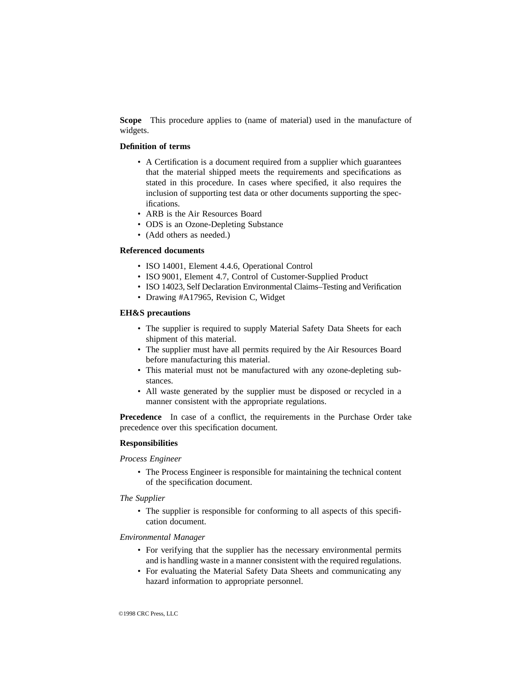**Scope** This procedure applies to (name of material) used in the manufacture of widgets.

#### **Definition of terms**

- A Certification is a document required from a supplier which guarantees that the material shipped meets the requirements and specifications as stated in this procedure. In cases where specified, it also requires the inclusion of supporting test data or other documents supporting the specifications.
- ARB is the Air Resources Board
- ODS is an Ozone-Depleting Substance
- (Add others as needed.)

#### **Referenced documents**

- ISO 14001, Element 4.4.6, Operational Control
- ISO 9001, Element 4.7, Control of Customer-Supplied Product
- ISO 14023, Self Declaration Environmental Claims–Testing and Verification
- Drawing #A17965, Revision C, Widget

#### **EH&S precautions**

- The supplier is required to supply Material Safety Data Sheets for each shipment of this material.
- The supplier must have all permits required by the Air Resources Board before manufacturing this material.
- This material must not be manufactured with any ozone-depleting substances.
- All waste generated by the supplier must be disposed or recycled in a manner consistent with the appropriate regulations.

**Precedence** In case of a conflict, the requirements in the Purchase Order take precedence over this specification document*.*

#### **Responsibilities**

#### *Process Engineer*

 • The Process Engineer is responsible for maintaining the technical content of the specification document.

#### *The Supplier*

 • The supplier is responsible for conforming to all aspects of this specification document.

#### *Environmental Manager*

- For verifying that the supplier has the necessary environmental permits and is handling waste in a manner consistent with the required regulations.
- For evaluating the Material Safety Data Sheets and communicating any hazard information to appropriate personnel.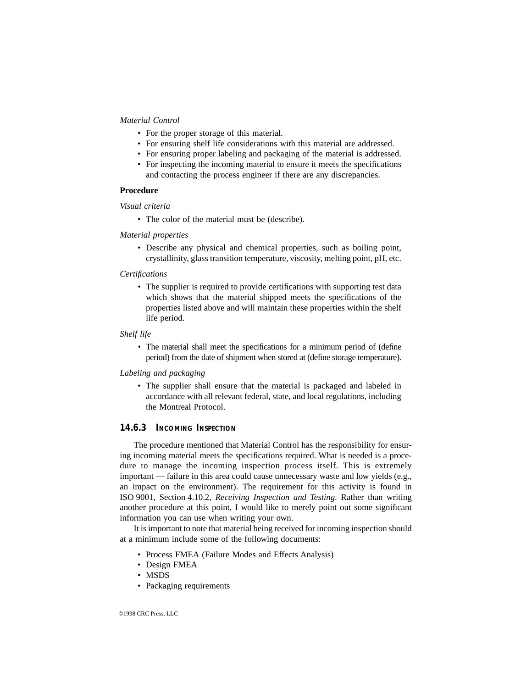#### *Material Control*

- For the proper storage of this material.
- For ensuring shelf life considerations with this material are addressed.
- For ensuring proper labeling and packaging of the material is addressed.
- For inspecting the incoming material to ensure it meets the specifications and contacting the process engineer if there are any discrepancies.

## **Procedure**

#### *Visual criteria*

• The color of the material must be (describe).

#### *Material properties*

 • Describe any physical and chemical properties, such as boiling point, crystallinity, glass transition temperature, viscosity, melting point, pH, etc.

#### *Certifications*

 • The supplier is required to provide certifications with supporting test data which shows that the material shipped meets the specifications of the properties listed above and will maintain these properties within the shelf life period.

#### *Shelf life*

 • The material shall meet the specifications for a minimum period of (define period) from the date of shipment when stored at (define storage temperature).

#### *Labeling and packaging*

 • The supplier shall ensure that the material is packaged and labeled in accordance with all relevant federal, state, and local regulations, including the Montreal Protocol.

#### **14.6.3 INCOMING INSPECTION**

The procedure mentioned that Material Control has the responsibility for ensuring incoming material meets the specifications required. What is needed is a procedure to manage the incoming inspection process itself. This is extremely important — failure in this area could cause unnecessary waste and low yields (e.g., an impact on the environment). The requirement for this activity is found in ISO 9001, Section 4.10.2, *Receiving Inspection and Testing*. Rather than writing another procedure at this point, I would like to merely point out some significant information you can use when writing your own.

It is important to note that material being received for incoming inspection should at a minimum include some of the following documents:

- Process FMEA (Failure Modes and Effects Analysis)
- Design FMEA
- MSDS
- Packaging requirements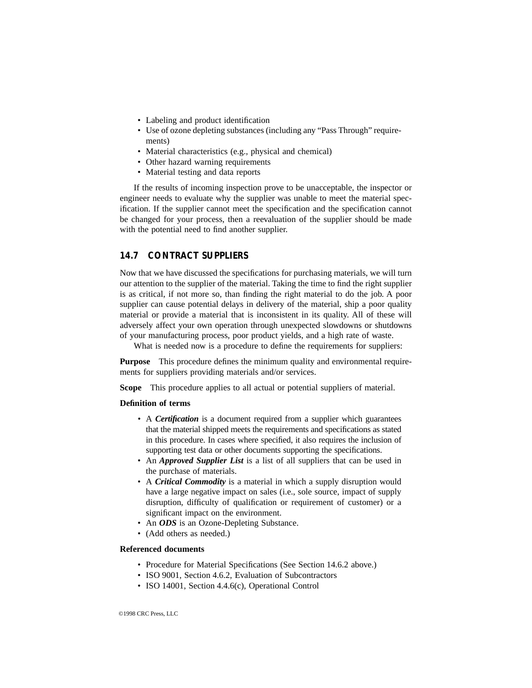- <span id="page-10-0"></span>• Labeling and product identification
- Use of ozone depleting substances (including any "Pass Through" requirements)
- Material characteristics (e.g., physical and chemical)
- Other hazard warning requirements
- Material testing and data reports

If the results of incoming inspection prove to be unacceptable, the inspector or engineer needs to evaluate why the supplier was unable to meet the material specification. If the supplier cannot meet the specification and the specification cannot be changed for your process, then a reevaluation of the supplier should be made with the potential need to find another supplier.

# **14.7 CONTRACT SUPPLIERS**

Now that we have discussed the specifications for purchasing materials, we will turn our attention to the supplier of the material. Taking the time to find the right supplier is as critical, if not more so, than finding the right material to do the job. A poor supplier can cause potential delays in delivery of the material, ship a poor quality material or provide a material that is inconsistent in its quality. All of these will adversely affect your own operation through unexpected slowdowns or shutdowns of your manufacturing process, poor product yields, and a high rate of waste.

What is needed now is a procedure to define the requirements for suppliers:

**Purpose** This procedure defines the minimum quality and environmental requirements for suppliers providing materials and/or services.

**Scope** This procedure applies to all actual or potential suppliers of material.

#### **Definition of terms**

- A *Certification* is a document required from a supplier which guarantees that the material shipped meets the requirements and specifications as stated in this procedure. In cases where specified, it also requires the inclusion of supporting test data or other documents supporting the specifications.
- An *Approved Supplier List* is a list of all suppliers that can be used in the purchase of materials.
- A *Critical Commodity* is a material in which a supply disruption would have a large negative impact on sales (i.e., sole source, impact of supply disruption, difficulty of qualification or requirement of customer) or a significant impact on the environment.
- An *ODS* is an Ozone-Depleting Substance.
- (Add others as needed.)

#### **Referenced documents**

- Procedure for Material Specifications (See Section 14.6.2 above.)
- ISO 9001, Section 4.6.2, Evaluation of Subcontractors
- ISO 14001, Section 4.4.6(c), Operational Control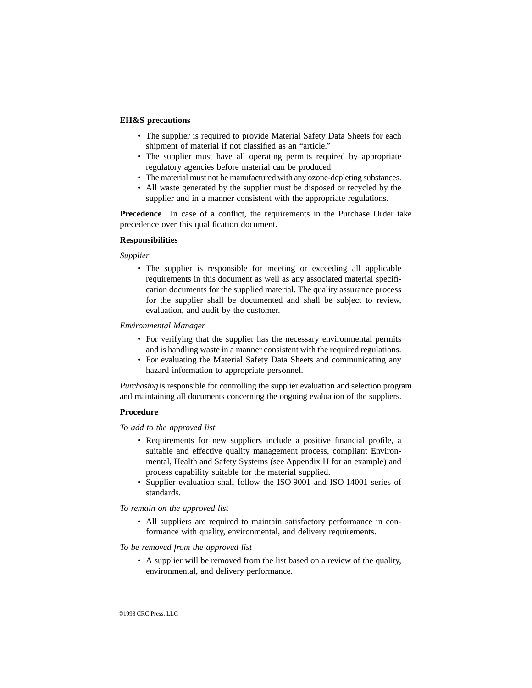#### **EH&S precautions**

- The supplier is required to provide Material Safety Data Sheets for each shipment of material if not classified as an "article."
- The supplier must have all operating permits required by appropriate regulatory agencies before material can be produced.
- The material must not be manufactured with any ozone-depleting substances.
- All waste generated by the supplier must be disposed or recycled by the supplier and in a manner consistent with the appropriate regulations.

**Precedence** In case of a conflict, the requirements in the Purchase Order take precedence over this qualification document.

## **Responsibilities**

#### *Supplier*

 • The supplier is responsible for meeting or exceeding all applicable requirements in this document as well as any associated material specification documents for the supplied material. The quality assurance process for the supplier shall be documented and shall be subject to review, evaluation, and audit by the customer.

#### *Environmental Manager*

- For verifying that the supplier has the necessary environmental permits and is handling waste in a manner consistent with the required regulations.
- For evaluating the Material Safety Data Sheets and communicating any hazard information to appropriate personnel.

*Purchasing* is responsible for controlling the supplier evaluation and selection program and maintaining all documents concerning the ongoing evaluation of the suppliers.

## **Procedure**

#### *To add to the approved list*

- Requirements for new suppliers include a positive financial profile, a suitable and effective quality management process, compliant Environmental, Health and Safety Systems (see Appendix H for an example) and process capability suitable for the material supplied.
- Supplier evaluation shall follow the ISO 9001 and ISO 14001 series of standards.

## *To remain on the approved list*

 • All suppliers are required to maintain satisfactory performance in conformance with quality, environmental, and delivery requirements.

#### *To be removed from the approved list*

 • A supplier will be removed from the list based on a review of the quality, environmental, and delivery performance.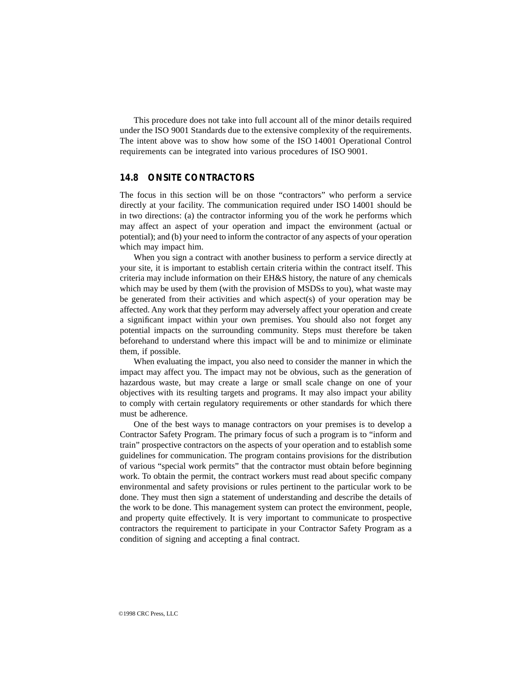This procedure does not take into full account all of the minor details required under the ISO 9001 Standards due to the extensive complexity of the requirements. The intent above was to show how some of the ISO 14001 Operational Control requirements can be integrated into various procedures of ISO 9001.

## **14.8 ONSITE CONTRACTORS**

The focus in this section will be on those "contractors" who perform a service directly at your facility. The communication required under ISO 14001 should be in two directions: (a) the contractor informing you of the work he performs which may affect an aspect of your operation and impact the environment (actual or potential); and (b) your need to inform the contractor of any aspects of your operation which may impact him.

When you sign a contract with another business to perform a service directly at your site, it is important to establish certain criteria within the contract itself. This criteria may include information on their EH&S history, the nature of any chemicals which may be used by them (with the provision of MSDSs to you), what waste may be generated from their activities and which aspect(s) of your operation may be affected. Any work that they perform may adversely affect your operation and create a significant impact within your own premises. You should also not forget any potential impacts on the surrounding community. Steps must therefore be taken beforehand to understand where this impact will be and to minimize or eliminate them, if possible.

When evaluating the impact, you also need to consider the manner in which the impact may affect you. The impact may not be obvious, such as the generation of hazardous waste, but may create a large or small scale change on one of your objectives with its resulting targets and programs. It may also impact your ability to comply with certain regulatory requirements or other standards for which there must be adherence.

One of the best ways to manage contractors on your premises is to develop a Contractor Safety Program. The primary focus of such a program is to "inform and train" prospective contractors on the aspects of your operation and to establish some guidelines for communication. The program contains provisions for the distribution of various "special work permits" that the contractor must obtain before beginning work. To obtain the permit, the contract workers must read about specific company environmental and safety provisions or rules pertinent to the particular work to be done. They must then sign a statement of understanding and describe the details of the work to be done. This management system can protect the environment, people, and property quite effectively. It is very important to communicate to prospective contractors the requirement to participate in your Contractor Safety Program as a condition of signing and accepting a final contract.